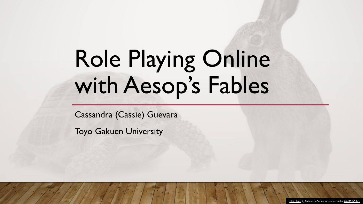# Role Playing Online with Aesop's Fables

Cassandra (Cassie) Guevara

Toyo Gakuen University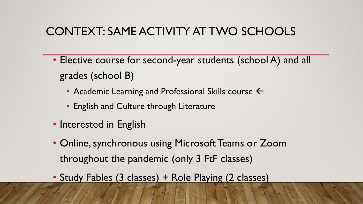#### CONTEXT: SAME ACTIVITY AT TWO SCHOOLS

- Elective course for second-year students (school A) and all grades (school B)
	- Academic Learning and Professional Skills course  $\leftarrow$
	- English and Culture through Literature
- Interested in English
- Online, synchronous using Microsoft Teams or Zoom throughout the pandemic (only 3 FtF classes)
- Study Fables (3 classes) + Role Playing (2 classes)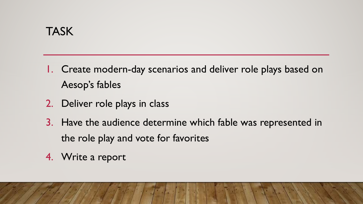- 1. Create modern-day scenarios and deliver role plays based on Aesop's fables
- 2. Deliver role plays in class
- 3. Have the audience determine which fable was represented in the role play and vote for favorites
- 4. Write a report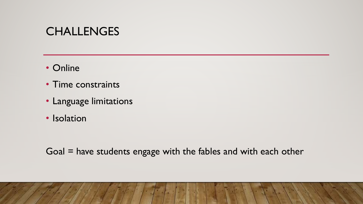#### CHALLENGES

- Online
- Time constraints
- Language limitations
- Isolation

Goal = have students engage with the fables and with each other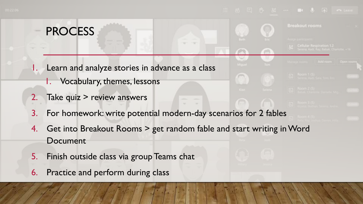**Breakout rooms** 

#### PROCESS

- Learn and analyze stories in advance as a class
	- 1. Vocabulary, themes, lessons
- 2. Take quiz > review answers
- 3. For homework: write potential modern-day scenarios for 2 fables
- 4. Get into Breakout Rooms > get random fable and start writing in Word Document
- 5. Finish outside class via group Teams chat

7. Deliver the role play while screen sharing the script

6. Practice and perform during class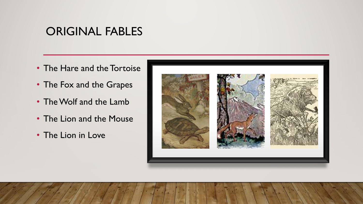#### ORIGINAL FABLES

- The Hare and the Tortoise
- The Fox and the Grapes
- The Wolf and the Lamb
- The Lion and the Mouse
- The Lion in Love

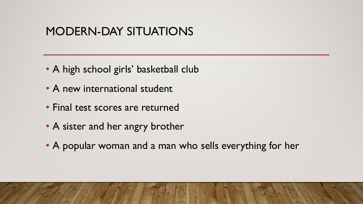#### MODERN-DAY SITUATIONS

- A high school girls' basketball club
- A new international student
- Final test scores are returned
- A sister and her angry brother
- A popular woman and a man who sells everything for her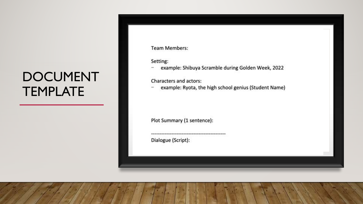### DOCUMENT TEMPLATE

**Team Members:** 

Setting:

example: Shibuya Scramble during Golden Week, 2022  $\overline{\phantom{a}}$ 

Characters and actors:

example: Ryota, the high school genius (Student Name)

Plot Summary (1 sentence):

Dialogue (Script):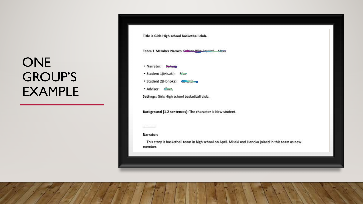### ONE GROUP'S EXAMPLE

|                  | Title is Girls High school basketball club.                                                         |
|------------------|-----------------------------------------------------------------------------------------------------|
|                  | Team 1 Member Names: Golfess Pike-Suyu<br>$-1$ $-1$ $\frac{1}{2}$                                   |
|                  | · Narrator: Salessa                                                                                 |
|                  | • Student 1(Misaki): R漁@                                                                            |
|                  | · Student 2(Honoka): Gayambana                                                                      |
| · Adviser: Einer |                                                                                                     |
|                  | Settings: Girls High school basketball club.                                                        |
|                  | Background (1-2 sentences): The character is New student.                                           |
|                  |                                                                                                     |
| Narrator:        |                                                                                                     |
| member.          | This story is basketball team in high school on April. Misaki and Honoka joined in this team as new |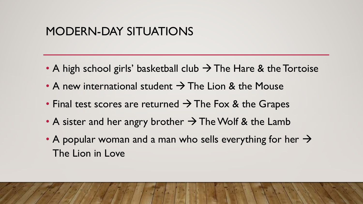#### MODERN-DAY SITUATIONS

- A high school girls' basketball club  $\rightarrow$  The Hare & the Tortoise
- A new international student  $\rightarrow$  The Lion & the Mouse
- Final test scores are returned  $\rightarrow$  The Fox & the Grapes
- A sister and her angry brother  $\rightarrow$  The Wolf & the Lamb
- A popular woman and a man who sells everything for her  $\rightarrow$ The Lion in Love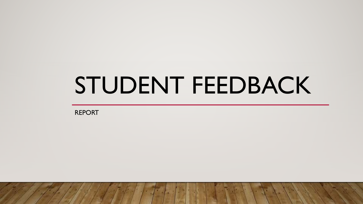## STUDENT FEEDBACK

REPORT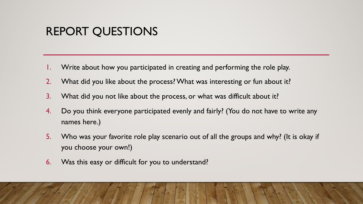#### REPORT QUESTIONS

- Write about how you participated in creating and performing the role play.
- 2. What did you like about the process? What was interesting or fun about it?
- 3. What did you not like about the process, or what was difficult about it?
- 4. Do you think everyone participated evenly and fairly? (You do not have to write any names here.)
- 5. Who was your favorite role play scenario out of all the groups and why? (It is okay if you choose your own!)
- 6. Was this easy or difficult for you to understand?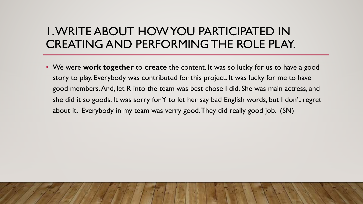#### 1. WRITE ABOUT HOW YOU PARTICIPATED IN CREATING AND PERFORMING THE ROLE PLAY.

• We were **work together** to **create** the content. It was so lucky for us to have a good story to play. Everybody was contributed for this project. It was lucky for me to have good members. And, let R into the team was best chose I did. She was main actress, and she did it so goods. It was sorry for Y to let her say bad English words, but I don't regret about it. Everybody in my team was verry good. They did really good job. (SN)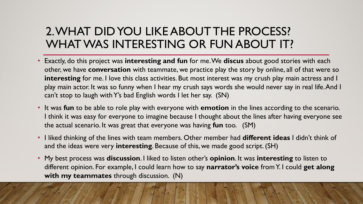#### 2. WHAT DID YOU LIKE ABOUT THE PROCESS? WHAT WAS INTERESTING OR FUN ABOUT IT?

- Exactly, do this project was **interesting and fun** for me. We **discus** about good stories with each other, we have **conversation** with teammate, we practice play the story by online, all of that were so **interesting** for me. I love this class activities. But most interest was my crush play main actress and I play main actor. It was so funny when I hear my crush says words she would never say in real life. And I can't stop to laugh with Y's bad English words I let her say. (SN)
- It was **fun** to be able to role play with everyone with **emotion** in the lines according to the scenario. I think it was easy for everyone to imagine because I thought about the lines after having everyone see the actual scenario. It was great that everyone was having **fun** too. (SM)
- I liked thinking of the lines with team members. Other member had **different ideas** I didn't think of and the ideas were very **interesting**. Because of this, we made good script. (SH)
- My best process was **discussion**. I liked to listen other's **opinion**. It was **interesting** to listen to different opinion. For example, I could learn how to say **narrator's voice** from Y. I could **get along with my teammates** through discussion. (N)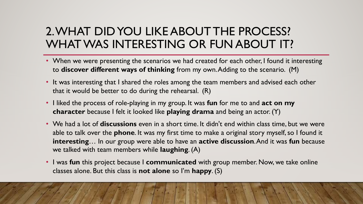#### 2. WHAT DID YOU LIKE ABOUT THE PROCESS? WHAT WAS INTERESTING OR FUN ABOUT IT?

- When we were presenting the scenarios we had created for each other, I found it interesting to **discover different ways of thinking** from my own. Adding to the scenario. (M)
- It was interesting that I shared the roles among the team members and advised each other that it would be better to do during the rehearsal. (R)
- I liked the process of role-playing in my group. It was **fun** for me to and **act on my character** because I felt it looked like **playing drama** and being an actor. (Y)
- We had a lot of **discussions** even in a short time. It didn't end within class time, but we were able to talk over the **phone**. It was my first time to make a original story myself, so I found it **interesting**… In our group were able to have an **active discussion**. And it was **fun** because we talked with team members while **laughing**. (A)
- I was **fun** this project because I **communicated** with group member. Now, we take online classes alone. But this class is **not alone** so I'm **happy**. (S)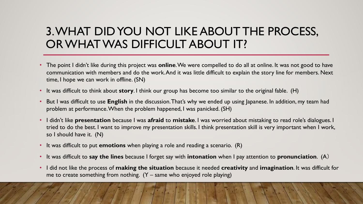#### 3. WHAT DID YOU NOT LIKE ABOUT THE PROCESS, OR WHAT WAS DIFFICULT ABOUT IT?

- The point I didn't like during this project was **online**. We were compelled to do all at online. It was not good to have communication with members and do the work. And it was little difficult to explain the story line for members. Next time, I hope we can work in offline. (SN)
- It was difficult to think about **story**. I think our group has become too similar to the original fable. (H)
- But I was difficult to use **English** in the discussion. That's why we ended up using Japanese. In addition, my team had problem at performance. When the problem happened, I was panicked. (SH)
- I didn't like **presentation** because I was **afraid** to **mistake**. I was worried about mistaking to read role's dialogues. I tried to do the best. I want to improve my presentation skills. I think presentation skill is very important when I work, so I should have it. (N)
- It was difficult to put **emotions** when playing a role and reading a scenario. (R)
- It was difficult to **say the lines** because I forget say with **intonation** when I pay attention to **pronunciation**. (A)
- I did not like the process of **making the situation** because it needed **creativity** and **imagination**. It was difficult for me to create something from nothing.  $(Y - same$  who enjoyed role playing)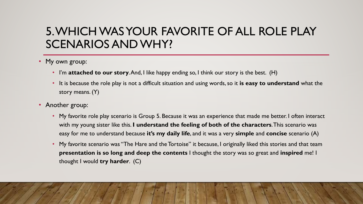#### 5. WHICH WAS YOUR FAVORITE OF ALL ROLE PLAY SCENARIOS AND WHY?

- My own group:
	- I'm **attached to our story**. And, I like happy ending so, I think our story is the best. (H)
	- It is because the role play is not a difficult situation and using words, so it **is easy to understand** what the story means. (Y)
- Another group:
	- My favorite role play scenario is Group 5. Because it was an experience that made me better. I often interact with my young sister like this. **I understand the feeling of both of the characters**. This scenario was easy for me to understand because **it's my daily life**, and it was a very **simple** and **concise** scenario (A)
	- My favorite scenario was "The Hare and the Tortoise" it because, I originally liked this stories and that team **presentation is so long and deep the contents** I thought the story was so great and **inspired** me! I thought I would **try harder**. (C)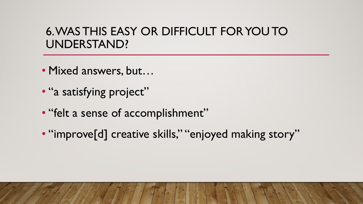#### 6. WAS THIS EASY OR DIFFICULT FOR YOU TO UNDERSTAND?

- Mixed answers, but…
- "a satisfying project"
- "felt a sense of accomplishment"
- "improve[d] creative skills," "enjoyed making story"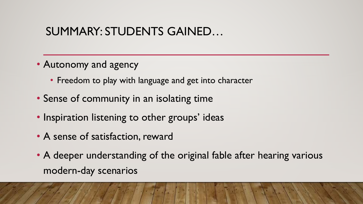#### SUMMARY: STUDENTS GAINED…

- Autonomy and agency
	- Freedom to play with language and get into character
- Sense of community in an isolating time
- Inspiration listening to other groups' ideas
- A sense of satisfaction, reward
- A deeper understanding of the original fable after hearing various modern-day scenarios